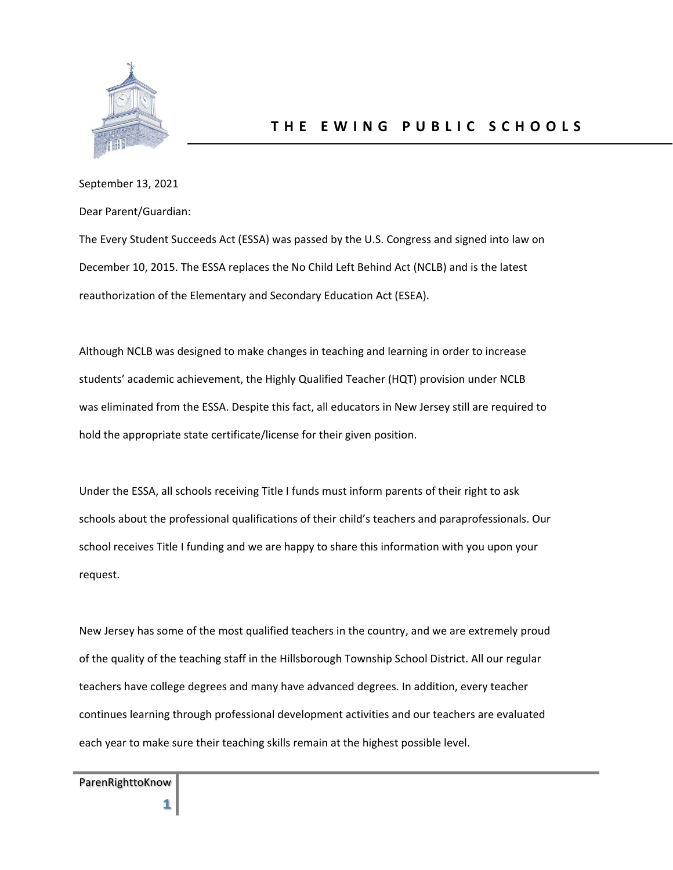

## September 13, 2021

Dear Parent/Guardian:

The Every Student Succeeds Act (ESSA) was passed by the U.S. Congress and signed into law on December 10, 2015. The ESSA replaces the No Child Left Behind Act (NCLB) and is the latest reauthorization of the Elementary and Secondary Education Act (ESEA).

Although NCLB was designed to make changes in teaching and learning in order to increase students' academic achievement, the Highly Qualified Teacher (HQT) provision under NCLB was eliminated from the ESSA. Despite this fact, all educators in New Jersey still are required to hold the appropriate state certificate/license for their given position.

Under the ESSA, all schools receiving Title I funds must inform parents of their right to ask schools about the professional qualifications of their child's teachers and paraprofessionals. Our school receives Title I funding and we are happy to share this information with you upon your request.

New Jersey has some of the most qualified teachers in the country, and we are extremely proud of the quality of the teaching staff in the Hillsborough Township School District. All our regular teachers have college degrees and many have advanced degrees. In addition, every teacher continues learning through professional development activities and our teachers are evaluated each year to make sure their teaching skills remain at the highest possible level.

ParenRighttoKnow